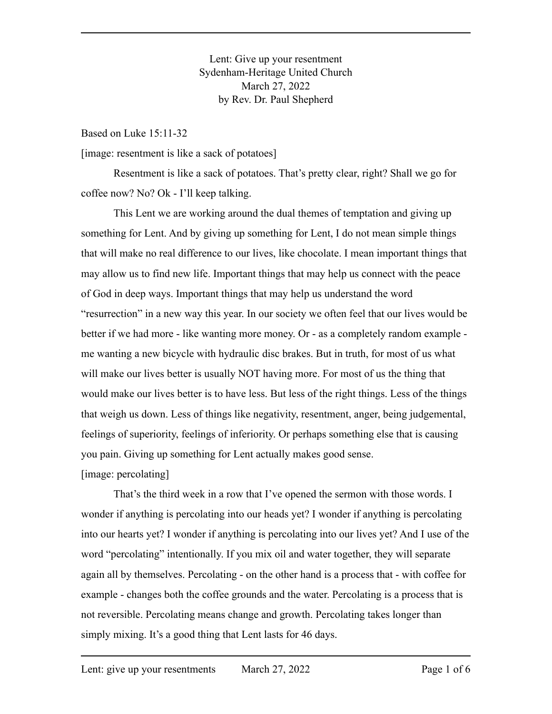Lent: Give up your resentment Sydenham-Heritage United Church March 27, 2022 by Rev. Dr. Paul Shepherd

Based on Luke 15:11-32

[image: resentment is like a sack of potatoes]

Resentment is like a sack of potatoes. That's pretty clear, right? Shall we go for coffee now? No? Ok - I'll keep talking.

This Lent we are working around the dual themes of temptation and giving up something for Lent. And by giving up something for Lent, I do not mean simple things that will make no real difference to our lives, like chocolate. I mean important things that may allow us to find new life. Important things that may help us connect with the peace of God in deep ways. Important things that may help us understand the word "resurrection" in a new way this year. In our society we often feel that our lives would be better if we had more - like wanting more money. Or - as a completely random example me wanting a new bicycle with hydraulic disc brakes. But in truth, for most of us what will make our lives better is usually NOT having more. For most of us the thing that would make our lives better is to have less. But less of the right things. Less of the things that weigh us down. Less of things like negativity, resentment, anger, being judgemental, feelings of superiority, feelings of inferiority. Or perhaps something else that is causing you pain. Giving up something for Lent actually makes good sense. [image: percolating]

That's the third week in a row that I've opened the sermon with those words. I wonder if anything is percolating into our heads yet? I wonder if anything is percolating into our hearts yet? I wonder if anything is percolating into our lives yet? And I use of the word "percolating" intentionally. If you mix oil and water together, they will separate again all by themselves. Percolating - on the other hand is a process that - with coffee for example - changes both the coffee grounds and the water. Percolating is a process that is not reversible. Percolating means change and growth. Percolating takes longer than simply mixing. It's a good thing that Lent lasts for 46 days.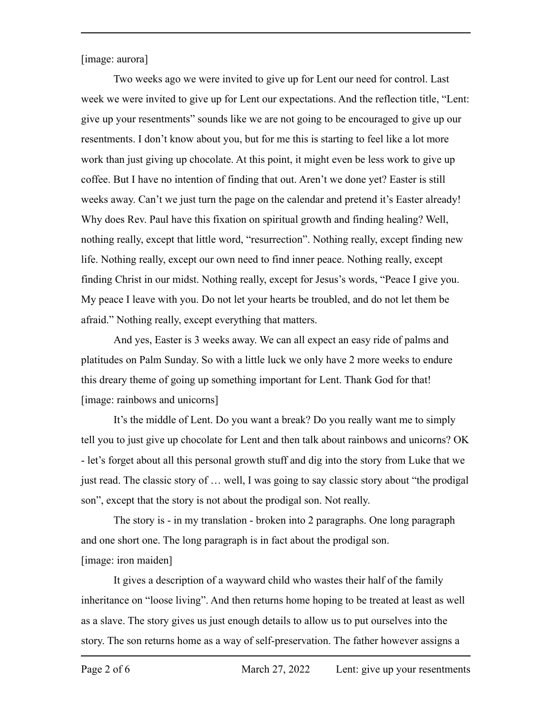[image: aurora]

Two weeks ago we were invited to give up for Lent our need for control. Last week we were invited to give up for Lent our expectations. And the reflection title, "Lent: give up your resentments" sounds like we are not going to be encouraged to give up our resentments. I don't know about you, but for me this is starting to feel like a lot more work than just giving up chocolate. At this point, it might even be less work to give up coffee. But I have no intention of finding that out. Aren't we done yet? Easter is still weeks away. Can't we just turn the page on the calendar and pretend it's Easter already! Why does Rev. Paul have this fixation on spiritual growth and finding healing? Well, nothing really, except that little word, "resurrection". Nothing really, except finding new life. Nothing really, except our own need to find inner peace. Nothing really, except finding Christ in our midst. Nothing really, except for Jesus's words, "Peace I give you. My peace I leave with you. Do not let your hearts be troubled, and do not let them be afraid." Nothing really, except everything that matters.

And yes, Easter is 3 weeks away. We can all expect an easy ride of palms and platitudes on Palm Sunday. So with a little luck we only have 2 more weeks to endure this dreary theme of going up something important for Lent. Thank God for that! [image: rainbows and unicorns]

It's the middle of Lent. Do you want a break? Do you really want me to simply tell you to just give up chocolate for Lent and then talk about rainbows and unicorns? OK - let's forget about all this personal growth stuff and dig into the story from Luke that we just read. The classic story of … well, I was going to say classic story about "the prodigal son", except that the story is not about the prodigal son. Not really.

The story is - in my translation - broken into 2 paragraphs. One long paragraph and one short one. The long paragraph is in fact about the prodigal son. [image: iron maiden]

It gives a description of a wayward child who wastes their half of the family inheritance on "loose living". And then returns home hoping to be treated at least as well as a slave. The story gives us just enough details to allow us to put ourselves into the story. The son returns home as a way of self-preservation. The father however assigns a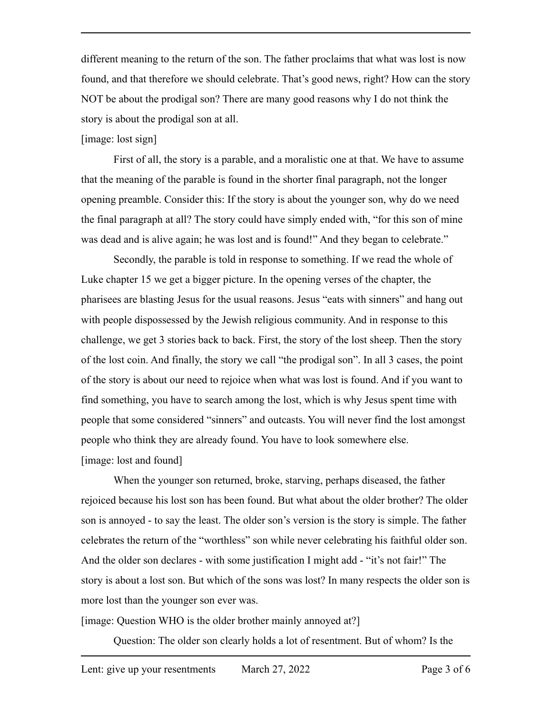different meaning to the return of the son. The father proclaims that what was lost is now found, and that therefore we should celebrate. That's good news, right? How can the story NOT be about the prodigal son? There are many good reasons why I do not think the story is about the prodigal son at all.

## [image: lost sign]

First of all, the story is a parable, and a moralistic one at that. We have to assume that the meaning of the parable is found in the shorter final paragraph, not the longer opening preamble. Consider this: If the story is about the younger son, why do we need the final paragraph at all? The story could have simply ended with, "for this son of mine was dead and is alive again; he was lost and is found!" And they began to celebrate."

Secondly, the parable is told in response to something. If we read the whole of Luke chapter 15 we get a bigger picture. In the opening verses of the chapter, the pharisees are blasting Jesus for the usual reasons. Jesus "eats with sinners" and hang out with people dispossessed by the Jewish religious community. And in response to this challenge, we get 3 stories back to back. First, the story of the lost sheep. Then the story of the lost coin. And finally, the story we call "the prodigal son". In all 3 cases, the point of the story is about our need to rejoice when what was lost is found. And if you want to find something, you have to search among the lost, which is why Jesus spent time with people that some considered "sinners" and outcasts. You will never find the lost amongst people who think they are already found. You have to look somewhere else. [image: lost and found]

When the younger son returned, broke, starving, perhaps diseased, the father rejoiced because his lost son has been found. But what about the older brother? The older son is annoyed - to say the least. The older son's version is the story is simple. The father celebrates the return of the "worthless" son while never celebrating his faithful older son. And the older son declares - with some justification I might add - "it's not fair!" The story is about a lost son. But which of the sons was lost? In many respects the older son is more lost than the younger son ever was.

[image: Question WHO is the older brother mainly annoyed at?]

Question: The older son clearly holds a lot of resentment. But of whom? Is the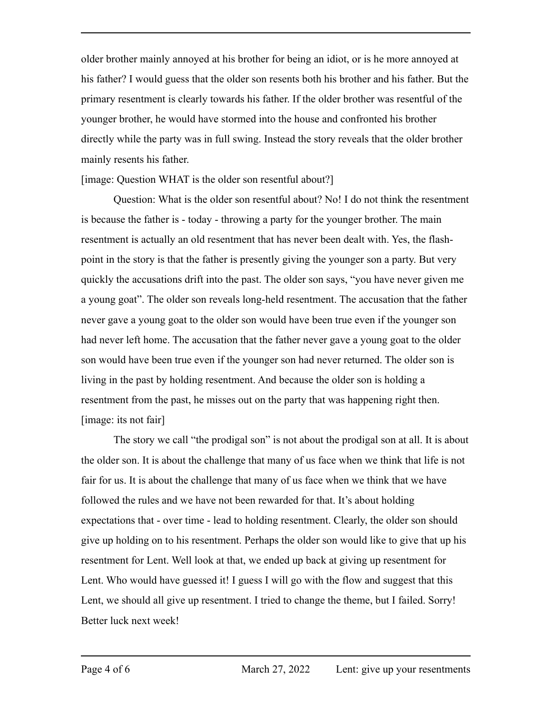older brother mainly annoyed at his brother for being an idiot, or is he more annoyed at his father? I would guess that the older son resents both his brother and his father. But the primary resentment is clearly towards his father. If the older brother was resentful of the younger brother, he would have stormed into the house and confronted his brother directly while the party was in full swing. Instead the story reveals that the older brother mainly resents his father.

[image: Question WHAT is the older son resentful about?]

Question: What is the older son resentful about? No! I do not think the resentment is because the father is - today - throwing a party for the younger brother. The main resentment is actually an old resentment that has never been dealt with. Yes, the flashpoint in the story is that the father is presently giving the younger son a party. But very quickly the accusations drift into the past. The older son says, "you have never given me a young goat". The older son reveals long-held resentment. The accusation that the father never gave a young goat to the older son would have been true even if the younger son had never left home. The accusation that the father never gave a young goat to the older son would have been true even if the younger son had never returned. The older son is living in the past by holding resentment. And because the older son is holding a resentment from the past, he misses out on the party that was happening right then. [image: its not fair]

The story we call "the prodigal son" is not about the prodigal son at all. It is about the older son. It is about the challenge that many of us face when we think that life is not fair for us. It is about the challenge that many of us face when we think that we have followed the rules and we have not been rewarded for that. It's about holding expectations that - over time - lead to holding resentment. Clearly, the older son should give up holding on to his resentment. Perhaps the older son would like to give that up his resentment for Lent. Well look at that, we ended up back at giving up resentment for Lent. Who would have guessed it! I guess I will go with the flow and suggest that this Lent, we should all give up resentment. I tried to change the theme, but I failed. Sorry! Better luck next week!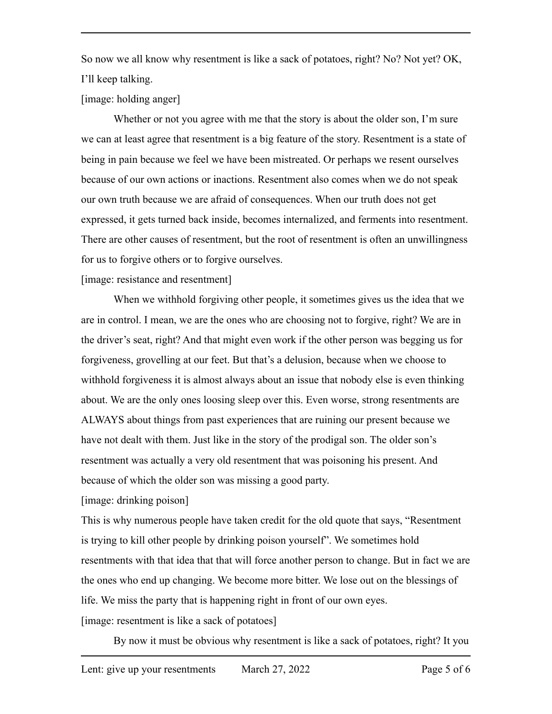So now we all know why resentment is like a sack of potatoes, right? No? Not yet? OK, I'll keep talking.

[image: holding anger]

Whether or not you agree with me that the story is about the older son, I'm sure we can at least agree that resentment is a big feature of the story. Resentment is a state of being in pain because we feel we have been mistreated. Or perhaps we resent ourselves because of our own actions or inactions. Resentment also comes when we do not speak our own truth because we are afraid of consequences. When our truth does not get expressed, it gets turned back inside, becomes internalized, and ferments into resentment. There are other causes of resentment, but the root of resentment is often an unwillingness for us to forgive others or to forgive ourselves.

[image: resistance and resentment]

When we withhold forgiving other people, it sometimes gives us the idea that we are in control. I mean, we are the ones who are choosing not to forgive, right? We are in the driver's seat, right? And that might even work if the other person was begging us for forgiveness, grovelling at our feet. But that's a delusion, because when we choose to withhold forgiveness it is almost always about an issue that nobody else is even thinking about. We are the only ones loosing sleep over this. Even worse, strong resentments are ALWAYS about things from past experiences that are ruining our present because we have not dealt with them. Just like in the story of the prodigal son. The older son's resentment was actually a very old resentment that was poisoning his present. And because of which the older son was missing a good party.

[image: drinking poison]

This is why numerous people have taken credit for the old quote that says, "Resentment is trying to kill other people by drinking poison yourself". We sometimes hold resentments with that idea that that will force another person to change. But in fact we are the ones who end up changing. We become more bitter. We lose out on the blessings of life. We miss the party that is happening right in front of our own eyes. [image: resentment is like a sack of potatoes]

By now it must be obvious why resentment is like a sack of potatoes, right? It you